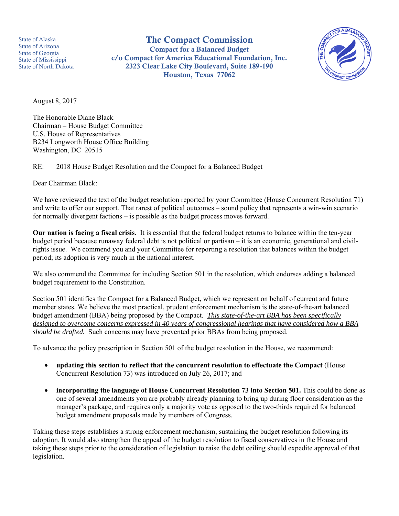State of Alaska State of Arizona State of Georgia State of Mississippi State of North Dakota

The Compact Commission Compact for a Balanced Budget c/o Compact for America Educational Foundation, Inc. 2323 Clear Lake City Boulevard, Suite 189-190 Houston, Texas 77062



August 8, 2017

The Honorable Diane Black Chairman – House Budget Committee U.S. House of Representatives B234 Longworth House Office Building Washington, DC 20515

RE: 2018 House Budget Resolution and the Compact for a Balanced Budget

Dear Chairman Black:

We have reviewed the text of the budget resolution reported by your Committee (House Concurrent Resolution 71) and write to offer our support. That rarest of political outcomes – sound policy that represents a win-win scenario for normally divergent factions – is possible as the budget process moves forward.

**Our nation is facing a fiscal crisis.** It is essential that the federal budget returns to balance within the ten-year budget period because runaway federal debt is not political or partisan – it is an economic, generational and civilrights issue. We commend you and your Committee for reporting a resolution that balances within the budget period; its adoption is very much in the national interest.

We also commend the Committee for including Section 501 in the resolution, which endorses adding a balanced budget requirement to the Constitution.

Section 501 identifies the Compact for a Balanced Budget, which we represent on behalf of current and future member states. We believe the most practical, prudent enforcement mechanism is the state-of-the-art balanced budget amendment (BBA) being proposed by the Compact. *This state-of-the-art BBA has been specifically designed to overcome concerns expressed in 40 years of congressional hearings that have considered how a BBA should be drafted.* Such concerns may have prevented prior BBAs from being proposed.

To advance the policy prescription in Section 501 of the budget resolution in the House, we recommend:

- **updating this section to reflect that the concurrent resolution to effectuate the Compact** (House Concurrent Resolution 73) was introduced on July 26, 2017; and
- **incorporating the language of House Concurrent Resolution 73 into Section 501.** This could be done as one of several amendments you are probably already planning to bring up during floor consideration as the manager's package, and requires only a majority vote as opposed to the two-thirds required for balanced budget amendment proposals made by members of Congress.

Taking these steps establishes a strong enforcement mechanism, sustaining the budget resolution following its adoption. It would also strengthen the appeal of the budget resolution to fiscal conservatives in the House and taking these steps prior to the consideration of legislation to raise the debt ceiling should expedite approval of that legislation.